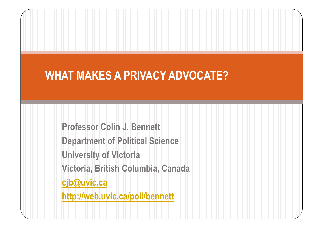## **WHAT MAKES A PRIVACY ADVOCATE?**

**Professor Colin J. Bennett** 

**Department of Political Science** 

**University of Victoria** 

**Victoria, British Columbia, Canada** 

**cjb@uvic.ca**

**http://web.uvic.ca/poli/bennett**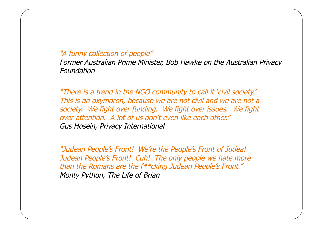### "A funny collection of people"

Former Australian Prime Minister, Bob Hawke on the Australian Privacy Foundation

"There is a trend in the NGO community to call it 'civil society.' This is an oxymoron, because we are not civil and we are not a society. We fight over funding. We fight over issues. We fight over attention. A lot of us don't even like each other." Gus Hosein, Privacy International

"Judean People's Front! We're the People's Front of Judea! Judean People's Front! Cuh! The only people we hate more than the Romans are the f\*\*cking Judean People's Front." Monty Python, The Life of Brian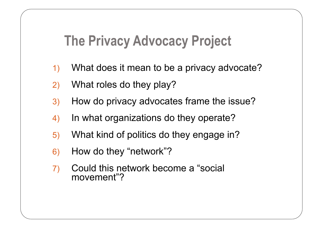## **The Privacy Advocacy Project**

- 1) What does it mean to be a privacy advocate?
- 2) What roles do they play?
- 3) How do privacy advocates frame the issue?
- 4) In what organizations do they operate?
- 5) What kind of politics do they engage in?
- 6) How do they "network"?
- 7) Could this network become a "social movement"?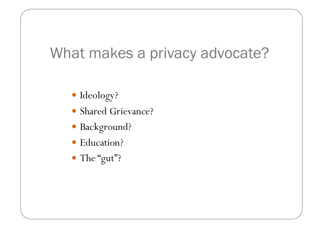# What makes a privacy advocate?

- Ideology?
- Shared Grievance?
- Background?
- Education?
- The "gut"?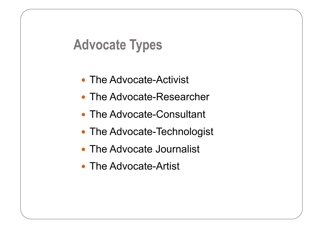## **Advocate Types**

- The Advocate-Activist
- The Advocate-Researcher
- The Advocate-Consultant
- The Advocate-Technologist
- The Advocate Journalist
- The Advocate-Artist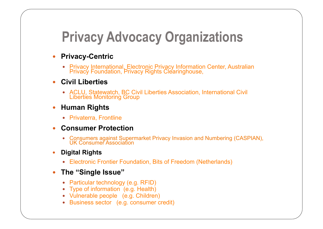## **Privacy Advocacy Organizations**

- **Privacy-Centric** 
	- Privacy International, Electronic Privacy Information Center, Australian Privacy Foundation, Privacy Rights Clearinghouse,
- **Civil Liberties** 
	- ACLU, Statewatch, BC Civil Liberties Association, International Civil Liberties Monitoring Group
- **Human Rights** 
	- Privaterra, Frontline
- **Consumer Protection** 
	- Consumers against Supermarket Privacy Invasion and Numbering (CASPIAN), UK Consumer Association
- **Digital Rights** 
	- Electronic Frontier Foundation, Bits of Freedom (Netherlands)
- **The "Single Issue"** 
	- Particular technology (e.g. RFID)
	- Type of information (e.g. Health)
	- Vulnerable people (e.g. Children)
	- Business sector (e.g. consumer credit)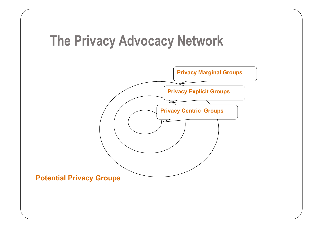## **The Privacy Advocacy Network**

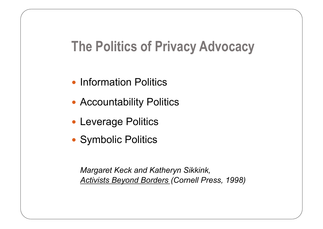## **The Politics of Privacy Advocacy**

- Information Politics
- Accountability Politics
- Leverage Politics
- Symbolic Politics

 *Margaret Keck and Katheryn Sikkink, Activists Beyond Borders (Cornell Press, 1998)*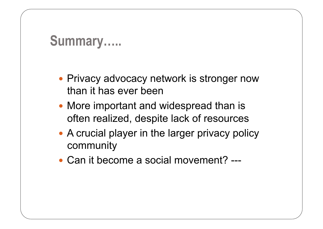## **Summary…..**

- Privacy advocacy network is stronger now than it has ever been
- More important and widespread than is often realized, despite lack of resources
- A crucial player in the larger privacy policy community
- Can it become a social movement? ---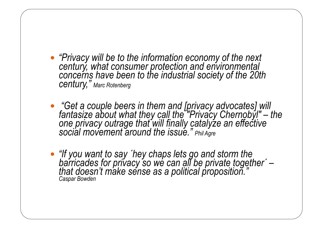- *"Privacy will be to the information economy of the next century, what consumer protection and environmental concerns have been to the industrial society of the 20th century," Marc Rotenberg*
- *"Get a couple beers in them and [privacy advocates] will fantasize about what they call the "Privacy Chernobyl"* – *the one privacy outrage that will finally catalyze an effective social movement around the issue." Phil Agre*
- *"If you want to say ´hey chaps lets go and storm the barricades for privacy so we can all be private together´ – that doesn't make sense as a political proposition." Caspar Bowden*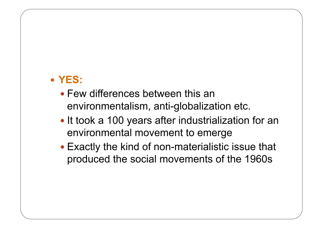### **YES:**

- Few differences between this an environmentalism, anti-globalization etc.
- It took a 100 years after industrialization for an environmental movement to emerge
- Exactly the kind of non-materialistic issue that produced the social movements of the 1960s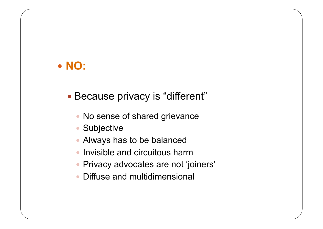### **NO:**

- Because privacy is "different"
	- No sense of shared grievance
	- Subjective
	- Always has to be balanced
	- Invisible and circuitous harm
	- Privacy advocates are not 'joiners'
	- Diffuse and multidimensional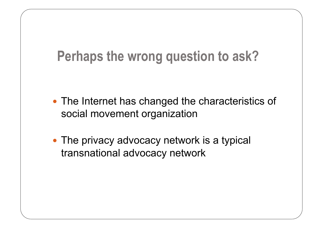# **Perhaps the wrong question to ask?**

- The Internet has changed the characteristics of social movement organization
- The privacy advocacy network is a typical transnational advocacy network